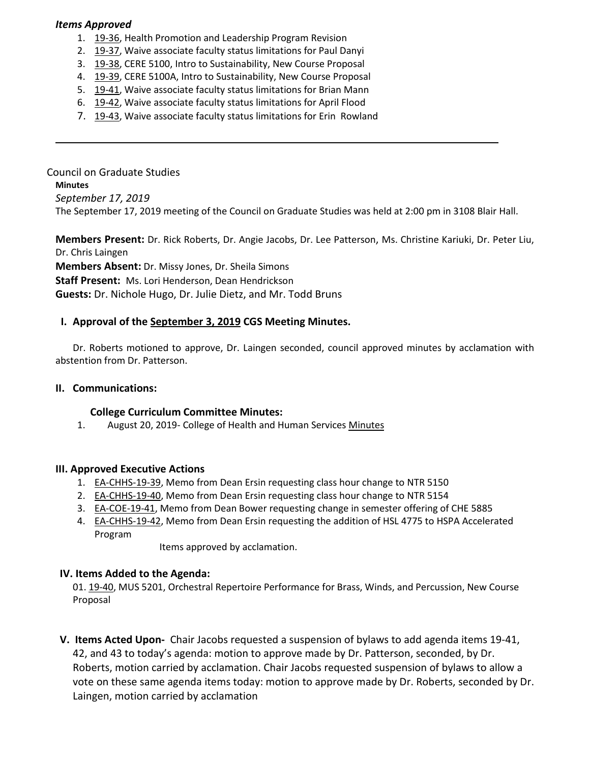#### *Items Approved*

- 1. [19-36,](http://castle.eiu.edu/eiucgs/currentagendaitems/agenda19-36.pdf) Health Promotion and Leadership Program Revision
- 2. [19-37,](http://castle.eiu.edu/eiucgs/currentagendaitems/agenda19-37.pdf) Waive associate faculty status limitations for Paul Danyi
- 3. [19-38,](http://castle.eiu.edu/eiucgs/currentagendaitems/agenda19-38.pdf) CERE 5100, Intro to Sustainability, New Course Proposal
- 4. [19-39,](http://castle.eiu.edu/eiucgs/currentagendaitems/agenda19-39.pdf) CERE 5100A, Intro to Sustainability, New Course Proposal
- 5. [19-41,](http://castle.eiu.edu/eiucgs/currentagendaitems/agenda19-41.pdf) Waive associate faculty status limitations for Brian Mann
- 6. [19-42,](http://castle.eiu.edu/eiucgs/currentagendaitems/agenda19-42.pdf) Waive associate faculty status limitations for April Flood
- 7. [19-43,](http://castle.eiu.edu/eiucgs/currentagendaitems/agenda19-43.pdf) Waive associate faculty status limitations for Erin Rowland

Council on Graduate Studies **Minutes** *September 17, 2019* The September 17, 2019 meeting of the Council on Graduate Studies was held at 2:00 pm in 3108 Blair Hall.

**Members Present:** Dr. Rick Roberts, Dr. Angie Jacobs, Dr. Lee Patterson, Ms. Christine Kariuki, Dr. Peter Liu, Dr. Chris Laingen **Members Absent:** Dr. Missy Jones, Dr. Sheila Simons

**Staff Present:** Ms. Lori Henderson, Dean Hendrickson

# **Guests:** Dr. Nichole Hugo, Dr. Julie Dietz, and Mr. Todd Bruns

## **I. Approval of the [September 3,](http://castle.eiu.edu/eiucgs/currentminutes/Minutes9-3-19.pdf) 2019 CGS Meeting [Minutes.](http://castle.eiu.edu/eiucgs/currentminutes/Minutes02-16-16.pdf)**

Dr. Roberts motioned to approve, Dr. Laingen seconded, council approved minutes by acclamation with abstention from Dr. Patterson.

## **II. Communications:**

## **College Curriculum Committee Minutes:**

1. August 20, 2019- College of Health and Human Services [Minutes](https://pmaileiu-my.sharepoint.com/personal/jemmett_eiu_edu/_layouts/15/onedrive.aspx?id=%2Fpersonal%2Fjemmett%5Feiu%5Fedu%2FDocuments%2FCHHS%20Curriculum%20Committee%20Folder%202019%2F08%2D20%2D19%20Meeting%2FMinutes%2F08%2D20%2D19%20CHHSCC%20Minutes%2Epdf&parent=%2Fpersonal%2Fjemmett%5Feiu%5Fedu%2FDocuments%2FCHHS%20Curriculum%20Committee%20Folder%202019%2F08%2D20%2D19%20Meeting%2FMinutes)

## **III. Approved Executive Actions**

- 1. [EA-CHHS-19-39,](http://castle.eiu.edu/eiucgs/exec-actions/EA-CHHS-19-39.pdf) Memo from Dean Ersin requesting class hour change to NTR 5150
- 2. [EA-CHHS-19-40,](http://castle.eiu.edu/eiucgs/exec-actions/EA-CHHS-19-40.pdf) Memo from Dean Ersin requesting class hour change to NTR 5154
- 3. [EA-COE-19-41,](http://castle.eiu.edu/eiucgs/exec-actions/EA-COE-19-41.pdf) Memo from Dean Bower requesting change in semester offering of CHE 5885
- 4. **EA-CHHS-19-42**, Memo from Dean Ersin requesting the addition of HSL 4775 to HSPA Accelerated Program

Items approved by acclamation.

## **IV. Items Added to the Agenda:**

01. [19-40,](http://castle.eiu.edu/eiucgs/currentagendaitems/agenda19-40.pdf) MUS 5201, Orchestral Repertoire Performance for Brass, Winds, and Percussion, New Course Proposal

**V. Items Acted Upon-** Chair Jacobs requested a suspension of bylaws to add agenda items 19-41, 42, and 43 to today's agenda: motion to approve made by Dr. Patterson, seconded, by Dr. Roberts, motion carried by acclamation. Chair Jacobs requested suspension of bylaws to allow a vote on these same agenda items today: motion to approve made by Dr. Roberts, seconded by Dr. Laingen, motion carried by acclamation